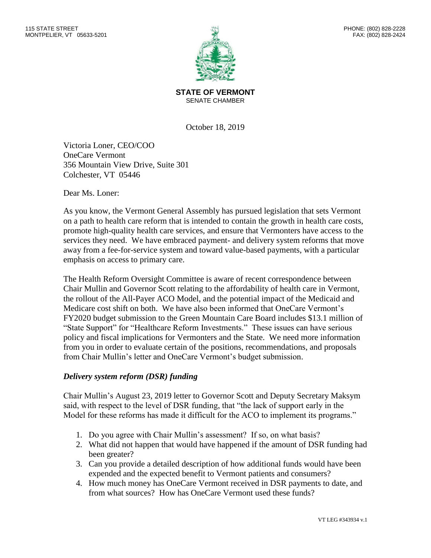

**STATE OF VERMONT** SENATE CHAMBER

October 18, 2019

Victoria Loner, CEO/COO OneCare Vermont 356 Mountain View Drive, Suite 301 Colchester, VT 05446

Dear Ms. Loner:

As you know, the Vermont General Assembly has pursued legislation that sets Vermont on a path to health care reform that is intended to contain the growth in health care costs, promote high-quality health care services, and ensure that Vermonters have access to the services they need. We have embraced payment- and delivery system reforms that move away from a fee-for-service system and toward value-based payments, with a particular emphasis on access to primary care.

The Health Reform Oversight Committee is aware of recent correspondence between Chair Mullin and Governor Scott relating to the affordability of health care in Vermont, the rollout of the All-Payer ACO Model, and the potential impact of the Medicaid and Medicare cost shift on both. We have also been informed that OneCare Vermont's FY2020 budget submission to the Green Mountain Care Board includes \$13.1 million of "State Support" for "Healthcare Reform Investments." These issues can have serious policy and fiscal implications for Vermonters and the State. We need more information from you in order to evaluate certain of the positions, recommendations, and proposals from Chair Mullin's letter and OneCare Vermont's budget submission.

## *Delivery system reform (DSR) funding*

Chair Mullin's August 23, 2019 letter to Governor Scott and Deputy Secretary Maksym said, with respect to the level of DSR funding, that "the lack of support early in the Model for these reforms has made it difficult for the ACO to implement its programs."

- 1. Do you agree with Chair Mullin's assessment? If so, on what basis?
- 2. What did not happen that would have happened if the amount of DSR funding had been greater?
- 3. Can you provide a detailed description of how additional funds would have been expended and the expected benefit to Vermont patients and consumers?
- 4. How much money has OneCare Vermont received in DSR payments to date, and from what sources? How has OneCare Vermont used these funds?